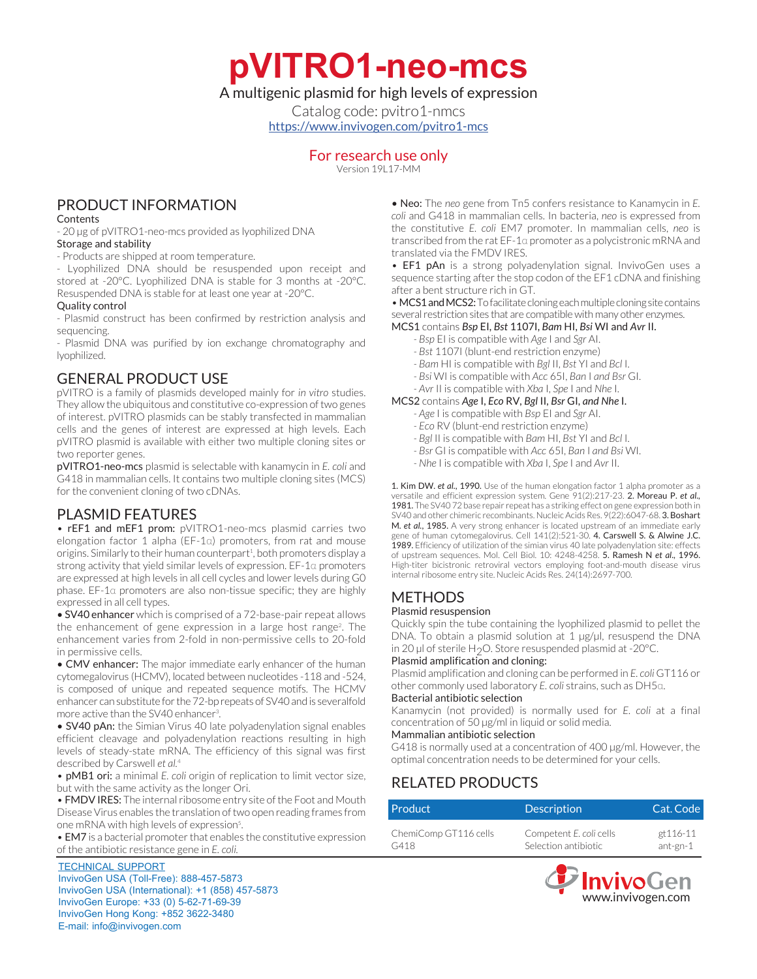**pVITRO1-neo-mcs**

## A multigenic plasmid for high levels of expression

Catalog code: pvitro1-nmcs <https://www.invivogen.com/pvitro1-mcs>

## For research use only

Version 19L17-MM

## PRODUCT INFORMATION

### **Contents**

- 20 µg of pVITRO1-neo-mcs provided as lyophilized DNA Storage and stability

- Products are shipped at room temperature.

- Lyophilized DNA should be resuspended upon receipt and stored at -20°C. Lyophilized DNA is stable for 3 months at -20°C. Resuspended DNA is stable for at least one year at -20°C.

### Quality control

- Plasmid construct has been confirmed by restriction analysis and sequencing.

- Plasmid DNA was purified by ion exchange chromatography and lyophilized.

## GENERAL PRODUCT USE

pVITRO is a family of plasmids developed mainly for *in vitro* studies. They allow the ubiquitous and constitutive co-expression of two genes of interest. pVITRO plasmids can be stably transfected in mammalian cells and the genes of interest are expressed at high levels. Each pVITRO plasmid is available with either two multiple cloning sites or two reporter genes.

pVITRO1-neo-mcs plasmid is selectable with kanamycin in *E. coli* and G418 in mammalian cells. It contains two multiple cloning sites (MCS) for the convenient cloning of two cDNAs.

## PLASMID FEATURES

• rEF1 and mEF1 prom: pVITRO1-neo-mcs plasmid carries two elongation factor 1 alpha (EF-1α) promoters, from rat and mouse origins. Similarly to their human counterpart<sup>1</sup>, both promoters display a strong activity that yield similar levels of expression. EF-1α promoters are expressed at high levels in all cell cycles and lower levels during G0 phase. EF-1α promoters are also non-tissue specific; they are highly expressed in all cell types.

• SV40 enhancer which is comprised of a 72-base-pair repeat allows the enhancement of gene expression in a large host range<sup>2</sup>. The enhancement varies from 2-fold in non-permissive cells to 20-fold in permissive cells.

• CMV enhancer: The major immediate early enhancer of the human cytomegalovirus (HCMV), located between nucleotides -118 and -524, is composed of unique and repeated sequence motifs. The HCMV enhancer can substitute for the 72-bp repeats of SV40 and is severalfold more active than the SV40 enhancer<sup>3</sup>. .

• SV40 pAn: the Simian Virus 40 late polyadenylation signal enables efficient cleavage and polyadenylation reactions resulting in high levels of steady-state mRNA. The efficiency of this signal was first described by Carswell *et al.*<sup>4</sup>

• pMB1 ori: a minimal *E. coli* origin of replication to limit vector size, but with the same activity as the longer Ori.

• FMDV IRES: The internal ribosome entry site of the Foot and Mouth Disease Virus enables the translation of two open reading frames from one mRNA with high levels of expression<sup>5</sup>. .

• EM7 is a bacterial promoter that enables the constitutive expression of the antibiotic resistance gene in *E. coli.*

TECHNICAL SUPPORT InvivoGen USA (Toll-Free): 888-457-5873 InvivoGen USA (International): +1 (858) 457-5873 InvivoGen Europe: +33 (0) 5-62-71-69-39 InvivoGen Hong Kong: +852 3622-3480 E-mail: info@invivogen.com

• Neo: The *neo* gene from Tn5 confers resistance to Kanamycin in *E. coli* and G418 in mammalian cells. In bacteria, *neo* is expressed from the constitutive *E. coli* EM7 promoter. In mammalian cells, *neo* is transcribed from the rat EF-1α promoter as a polycistronic mRNA and translated via the FMDV IRES.

• EF1 pAn is a strong polyadenylation signal. InvivoGen uses a sequence starting after the stop codon of the EF1 cDNA and finishing after a bent structure rich in GT.

• MCS1 and MCS2: To facilitate cloning each multiple cloning site contains several restriction sites that are compatible with many other enzymes.

- MCS1 contains *Bsp* EI, *Bst* 1107I, *Bam* HI, *Bsi* WI and *Avr* II.
	- *Bsp* EI is compatible with *Age* I and *Sgr* AI.
	- *Bst* 1107I (blunt-end restriction enzyme)
	- *Bam* HI is compatible with *Bgl* II, *Bst* YI and *Bcl* I.
	- *Bsi* WI is compatible with *Acc* 65I, *Ban* I *and Bsr* GI.

#### *- Avr* II is compatible with *Xba* I, *Spe* I and *Nhe* I. MCS2 contains *Age* I, *Eco* RV, *Bgl* II, *Bsr* GI, *and Nhe* I.

- *Age* I is compatible with *Bsp* EI and *Sgr* AI.
- *Eco* RV (blunt-end restriction enzyme)
- 
- *Bgl* II is compatible with *Bam* HI, *Bst* YI and *Bcl* I.
- *Bsr* GI is compatible with *Acc* 65I, *Ban* I *and Bsi* WI.
- *Nhe* I is compatible with *Xba* I, *Spe* I and *Avr* II.

1. Kim DW. *et al.*, 1990. Use of the human elongation factor 1 alpha promoter as a versatile and efficient expression system. Gene 91(2):217-23. 2. Moreau P. *et al.,* 1981. The SV40 72 base repair repeat has a striking effect on gene expression both in SV40 and other chimeric recombinants. Nucleic Acids Res. 9(22):6047-68. 3. Boshart M. *et al.*, 1985. A very strong enhancer is located upstream of an immediate early gene of human cytomegalovirus. Cell 141(2):521-30. 4. Carswell S. & Alwine J.C. 1989. Efficiency of utilization of the simian virus 40 late polyadenylation site: effects of upstream sequences. Mol. Cell Biol. 10: 4248-4258. 5. Ramesh N *et al*., 1996. High-titer bicistronic retroviral vectors employing foot-and-mouth disease virus internal ribosome entry site. Nucleic Acids Res. 24(14):2697-700.

## **METHODS**

### Plasmid resuspension

Quickly spin the tube containing the lyophilized plasmid to pellet the DNA. To obtain a plasmid solution at 1 µg/µl, resuspend the DNA in 20 µl of sterile H<sub>2</sub>O. Store resuspended plasmid at -20 $^{\circ}$ C.

### Plasmid amplification and cloning:

Plasmid amplification and cloning can be performed in *E. coli* GT116 or other commonly used laboratory *E. coli* strains, such as DH5α.

### Bacterial antibiotic selection

Kanamycin (not provided) is normally used for *E. coli* at a final concentration of 50 µg/ml in liquid or solid media.

### Mammalian antibiotic selection

G418 is normally used at a concentration of 400 µg/ml. However, the optimal concentration needs to be determined for your cells.

# RELATED PRODUCTS

| Product               | <b>Description</b>      | Cat. Code |
|-----------------------|-------------------------|-----------|
| ChemiComp GT116 cells | Competent E. coli cells | gt 116-11 |
| G418                  | Selection antibiotic    | ant-gn-1  |

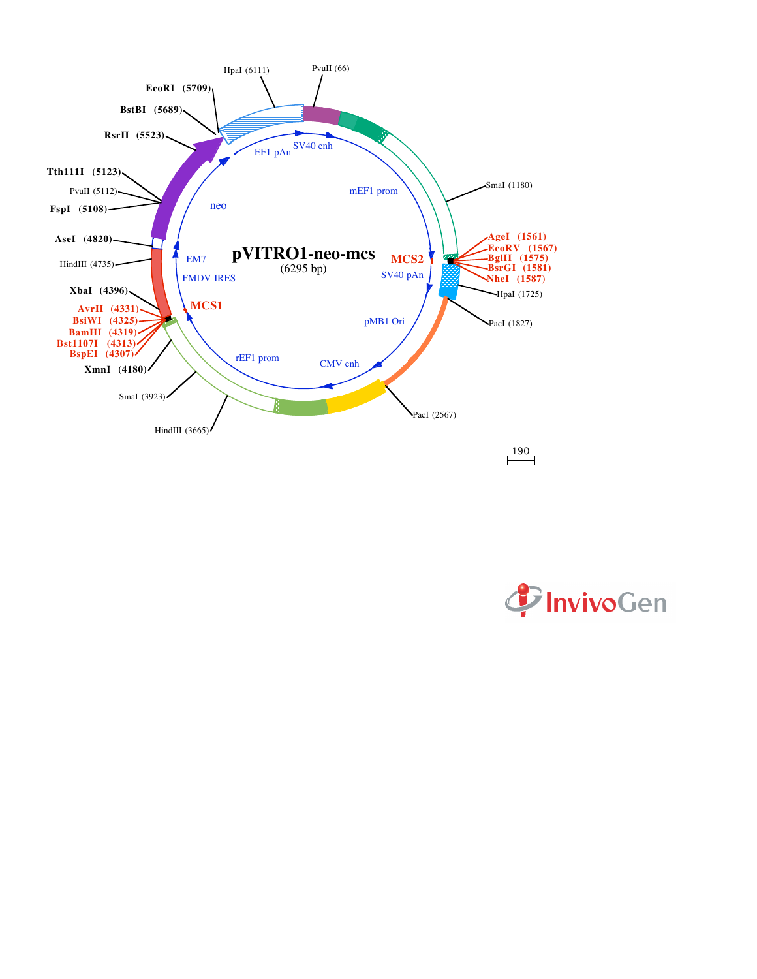

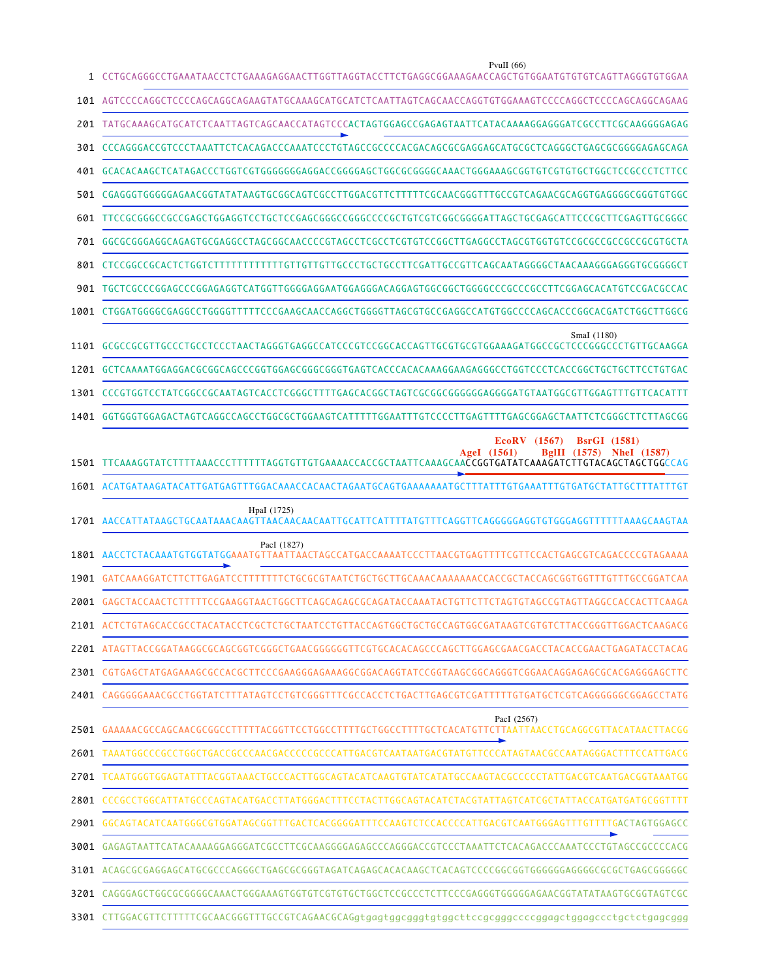| 1    | PvuII $(66)$<br>CCTGCAGGGCCTGAAATAACCTCTGAAAGAGAACTTGGTTAGGTACCTTCTGAGGCGGAAAGAACCAGCTGTGGAATGTGTCAGTTAGGGTGTGGAA        |
|------|--------------------------------------------------------------------------------------------------------------------------|
|      |                                                                                                                          |
|      | 201 TATGCAAAGCATGCATCTCAATTAGTCAGCAACCATAGTCCCACTAGTGGAGCCGAGAGTAATTCATACAAAAGGAGGGATCGCCTTCGCAAGGGGAGAG                 |
|      | 301 CCCAGGGACCGTCCCTAAATTCTCACAGACCCAAATCCCTGTAGCCGCCCCACGACAGCGCGCGAGGAGCATGCGCTCAGGGCTGAGCGCGGGGAGAGCAGA               |
|      | 401 GCACACAAGCTCATAGACCCTGGTCGTGGGGGGGAGGACCGGGGAGCTGGCGCGGGGCAAACTGGGAAAGCGGTGTCGTGTGCTGGCTCCGCCCTTCTCC                 |
|      | 501 CGAGGGTGGGGGAGAACGGTATATAAGTGCGGCAGTCGCCTTGGACGTTCTTTTTCGCAACGGGTTTGCCGTCAGAACGCAGGTGAGGGGCGGGTGTGGC                 |
| 601  | TTCCGCGGGCCGGCCGAGCTGGAGGTCCTGCTCCGAGCGGCCCGGGCCCGCTGTCGGCGGGGATTAGCTGCGAGCATTCCCGCTTCGAGTTGCGGG                         |
|      | 701 GGCGCGGGAGGCAGAGTGCGAGGCCTAGCGGCAACCCCGTAGCCTCGCCTCGTGTCCGGCTTGAGGCCTAGCGTGGTGTCCGCCGCCGCCGCCGTGCTA                  |
| 801  |                                                                                                                          |
|      | 901 TGCTCGCCCGGAGCCCGGAGAGGTCATGGTTGGGGAGGAATGGAGGGACAGGAGTGGCGGCTGGGGCCCGCCTTCGGAGCACATGTCCGACGCCAC                     |
| 1001 | CTGGATGGGCCGAGGCCTGGGGTTTTTCCCGAAGCAACCAGGCTGGGGTTAGCGTGCCGAGGCCATGTGGCCCCAGCACCCGGCACGATCTGGCTTGGCG                     |
|      | SmaI (1180)                                                                                                              |
|      |                                                                                                                          |
| 1301 |                                                                                                                          |
|      | 1401 GGTGGGTGGAGACTAGTCAGGCCAGCCTGGCGCTGGAAGTCATTTTTGGAATTTGTCCCCTTGAGTTTTGAGCGGAGCTAATTCTCGGGCTTCTTAGCGG                |
| 1501 | <b>EcoRV</b> (1567)<br><b>BsrGI</b> (1581)<br><b>BgIII</b> (1575)<br><b>Nhel</b> (1587)<br>AgeI (1561)                   |
|      | 1601 ACATGATAAGATACATTGATGAGTTTGGACAAACCACAACTAGAATGCAGTGAAAAAAATGCTTTATTTGTGAAATTTGTGATGCTATTGCTTT                      |
|      | HpaI (1725)                                                                                                              |
|      | PacI (1827)<br>1801 AACCTCTACAAATGTGGTATGGAAATGTTAATTAACTAGCCATGACCAAAATCCCTTAACGTGAGTTTTCGTTCCACTGAGCGTCAGACCCCGTAGAAAA |
| 1901 | GCGTAATCTGCTGCTTGCAAACAAAAAAACCACCGCTACCAGCGGTGGTTT                                                                      |
|      | 2001 GAGCTACCAACTCTTTTTCCGAAGGTAACTGGCTTCAGCAGAGCGCAGATACCAAATACTGTTCTTCTAGTGTAGCCGTAGTTAGGCCACCACTTCAAGA                |
|      | 2101 ACTCTGTAGCACCGCCTACATACCTCGCTCTGCTAATCCTGTTACCAGTGGCTGCTGCCAGTGGCGATAAGTCGTGTCTTACCGGGTTGGACTCAAGACG                |
|      | 2201 ATAGTTACCGGATAAGGCGCAGCGGTCGGGCTGAACGGGGGGTTCGTGCACACAGCCCAGCTTGGAGCGAACGACCTACACCGAACTGAGATACCTACAG                |
|      | 2301 CGTGAGCTATGAGAAAGCGCCCACGCTTCCCGAAGGGAGAAAGGCGGACAGGTATCCGGTAAGCGGCAGGGTCGGAACAGGAGAGCGCACGAGGGAGCTTC               |
|      |                                                                                                                          |
|      | PacI (2567)                                                                                                              |
|      | 2601 TAAATGGCCCGCCTGGCTGACCGCCCAACGACCCCCGCCCATTGACGTCAATAATGACGTATGTTCCCATAGTAACGCCAATAGGGACTTTCCATTGACG                |
|      | 2701 TCAATGGGTGGAGTATTTACGGTAAACTGCCCACTTGGCAGTACATCAAGTGTATCATATGCCAAGTACGCCCCCTATTGACGTCAATGACGGTAAATGG                |
|      | 2801 CCCGCCTGGCATTATGCCCAGTACATGACCTTATGGGACTTTCCTACTTGGCAGTACATCTACGTATTAGTCATCGCTATTACCATGATGATGCGGTTTT                |
|      | TGACTAGTGGAGCC                                                                                                           |
|      | 3001 GAGAGTAATTCATACAAAAGGAGGGATCGCCTTCGCAAGGGGAGAGCCCAGGGACCGTCCCTAAATTCTCACAGACCCAAATCCCTGTAGCCGCCCCACG                |
|      | 3101 ACAGCGCGAGGAGCATGCGCCCCAGGGCTGAGCGCGGGTAGATCAGAGCACAAGCTCACAGTCCCCGGCGGTGGGGGGAGGGGCGCTGAGCGGGGGC                   |
|      | 3201 CAGGGAGCTGGCGCGGGGCAAACTGGGAAAGTGGTGTCGTGTGCTGGCTCCGCCCTCTTCCCGAGGGTGGGGGAGAACGGTATATAAGTGCGGTAGTCGC                |
|      | 3301 CTTGGACGTTCTTTTTCGCAACGGGTTTGCCGTCAGAACGCAGgtgagtggcgggtgtggcttccgcggggccccggagctggagccctgctctgagcggg               |

l,